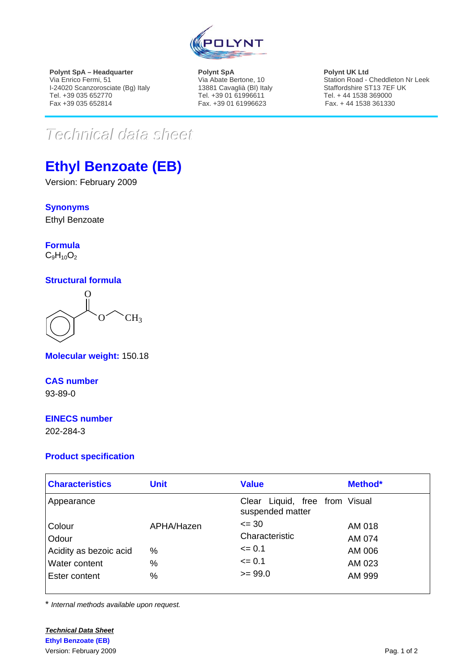

**Polynt SpA – Headquarter**  Via Enrico Fermi, 51 I-24020 Scanzorosciate (Bg) Italy Tel. +39 035 652770 Fax +39 035 652814

**Polynt SpA**  Via Abate Bertone, 10 13881 Cavaglià (BI) Italy Tel. +39 01 61996611 Fax. +39 01 61996623

**Polynt UK Ltd**  Station Road - Cheddleton Nr Leek Staffordshire ST13 7EF UK Tel. + 44 1538 369000 Fax. + 44 1538 361330

# $Techmical$  data sheet

## **Ethyl Benzoate (EB)**

Version: February 2009

**Synonyms**

Ethyl Benzoate

**Formula**  $C_9H_{10}O_2$ 

#### **Structural formula**

 $O^{\sim}$  CH<sub>3</sub>  $\Omega$ 

**Molecular weight:** 150.18

**CAS number** 93-89-0

#### **EINECS number**

202-284-3

#### **Product specification**

| <b>Characteristics</b> | <b>Unit</b> | <b>Value</b>                                       | Method* |
|------------------------|-------------|----------------------------------------------------|---------|
| Appearance             |             | Clear Liquid, free from Visual<br>suspended matter |         |
| Colour                 | APHA/Hazen  | $\leq$ 30                                          | AM 018  |
| Odour                  |             | Characteristic                                     | AM 074  |
| Acidity as bezoic acid | %           | $\leq$ 0.1                                         | AM 006  |
| Water content          | %           | $\leq 0.1$                                         | AM 023  |
| Ester content          | %           | $>= 99.0$                                          | AM 999  |

\* *Internal methods available upon request.*